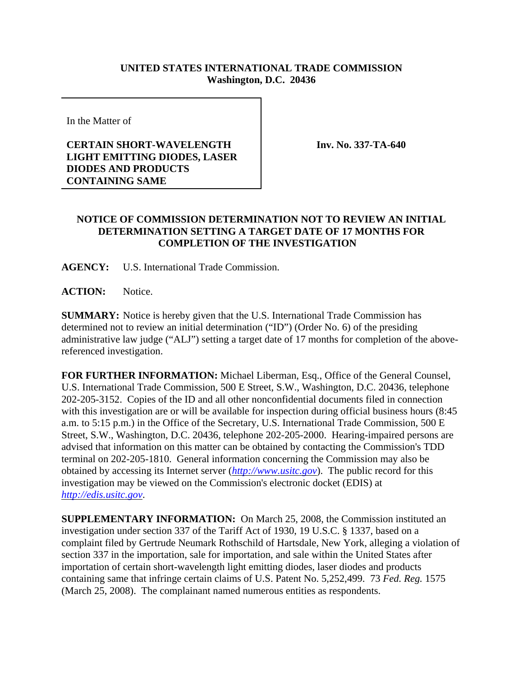## **UNITED STATES INTERNATIONAL TRADE COMMISSION Washington, D.C. 20436**

In the Matter of

## **CERTAIN SHORT-WAVELENGTH LIGHT EMITTING DIODES, LASER DIODES AND PRODUCTS CONTAINING SAME**

**Inv. No. 337-TA-640**

## **NOTICE OF COMMISSION DETERMINATION NOT TO REVIEW AN INITIAL DETERMINATION SETTING A TARGET DATE OF 17 MONTHS FOR COMPLETION OF THE INVESTIGATION**

**AGENCY:** U.S. International Trade Commission.

**ACTION:** Notice.

**SUMMARY:** Notice is hereby given that the U.S. International Trade Commission has determined not to review an initial determination ("ID") (Order No. 6) of the presiding administrative law judge ("ALJ") setting a target date of 17 months for completion of the abovereferenced investigation.

**FOR FURTHER INFORMATION:** Michael Liberman, Esq., Office of the General Counsel, U.S. International Trade Commission, 500 E Street, S.W., Washington, D.C. 20436, telephone 202-205-3152. Copies of the ID and all other nonconfidential documents filed in connection with this investigation are or will be available for inspection during official business hours (8:45 a.m. to 5:15 p.m.) in the Office of the Secretary, U.S. International Trade Commission, 500 E Street, S.W., Washington, D.C. 20436, telephone 202-205-2000. Hearing-impaired persons are advised that information on this matter can be obtained by contacting the Commission's TDD terminal on 202-205-1810. General information concerning the Commission may also be obtained by accessing its Internet server (*http://www.usitc.gov*). The public record for this investigation may be viewed on the Commission's electronic docket (EDIS) at *http://edis.usitc.gov*.

**SUPPLEMENTARY INFORMATION:** On March 25, 2008, the Commission instituted an investigation under section 337 of the Tariff Act of 1930, 19 U.S.C. § 1337, based on a complaint filed by Gertrude Neumark Rothschild of Hartsdale, New York, alleging a violation of section 337 in the importation, sale for importation, and sale within the United States after importation of certain short-wavelength light emitting diodes, laser diodes and products containing same that infringe certain claims of U.S. Patent No. 5,252,499. 73 *Fed. Reg.* 1575 (March 25, 2008). The complainant named numerous entities as respondents.